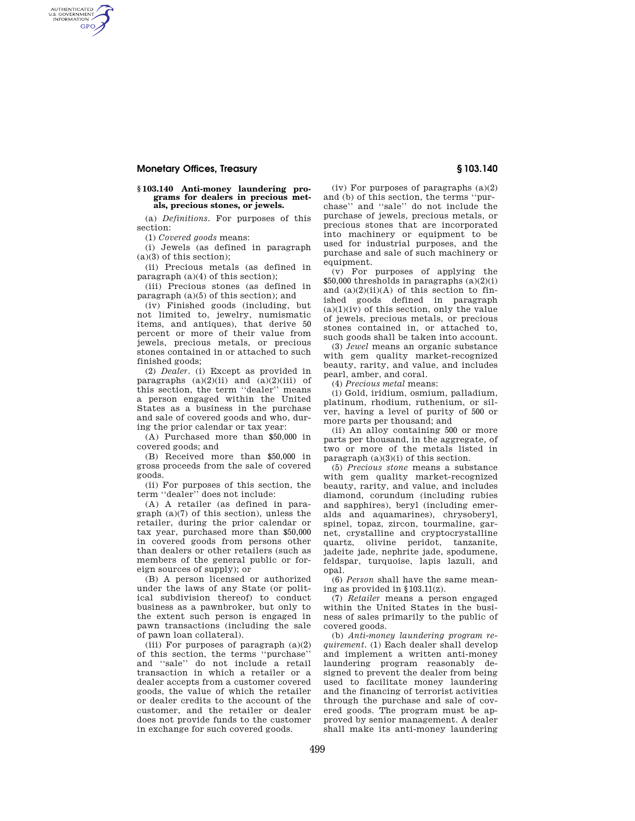# **Monetary Offices, Treasury § 103.140**

AUTHENTICATED<br>U.S. GOVERNMENT<br>INFORMATION **GPO** 

### **§ 103.140 Anti-money laundering programs for dealers in precious metals, precious stones, or jewels.**

(a) *Definitions.* For purposes of this section:

(1) *Covered goods* means:

(i) Jewels (as defined in paragraph  $(a)(3)$  of this section);

(ii) Precious metals (as defined in paragraph (a)(4) of this section);

(iii) Precious stones (as defined in paragraph (a)(5) of this section); and

(iv) Finished goods (including, but not limited to, jewelry, numismatic items, and antiques), that derive 50 percent or more of their value from jewels, precious metals, or precious stones contained in or attached to such finished goods;

(2) *Dealer.* (i) Except as provided in paragraphs  $(a)(2)(ii)$  and  $(a)(2)(iii)$  of this section, the term ''dealer'' means a person engaged within the United States as a business in the purchase and sale of covered goods and who, during the prior calendar or tax year:

(A) Purchased more than \$50,000 in covered goods; and

(B) Received more than \$50,000 in gross proceeds from the sale of covered goods.

(ii) For purposes of this section, the term ''dealer'' does not include:

(A) A retailer (as defined in paragraph (a)(7) of this section), unless the retailer, during the prior calendar or tax year, purchased more than \$50,000 in covered goods from persons other than dealers or other retailers (such as members of the general public or foreign sources of supply); or

(B) A person licensed or authorized under the laws of any State (or political subdivision thereof) to conduct business as a pawnbroker, but only to the extent such person is engaged in pawn transactions (including the sale of pawn loan collateral).

(iii) For purposes of paragraph  $(a)(2)$ of this section, the terms ''purchase'' and ''sale'' do not include a retail transaction in which a retailer or a dealer accepts from a customer covered goods, the value of which the retailer or dealer credits to the account of the customer, and the retailer or dealer does not provide funds to the customer in exchange for such covered goods.

(iv) For purposes of paragraphs  $(a)(2)$ and (b) of this section, the terms ''purchase'' and ''sale'' do not include the purchase of jewels, precious metals, or precious stones that are incorporated into machinery or equipment to be used for industrial purposes, and the purchase and sale of such machinery or equipment.

(v) For purposes of applying the  $$50,000$  thresholds in paragraphs  $(a)(2)(i)$ and  $(a)(2)(ii)(A)$  of this section to finished goods defined in paragraph  $(a)(1)(iv)$  of this section, only the value of jewels, precious metals, or precious stones contained in, or attached to, such goods shall be taken into account.

(3) *Jewel* means an organic substance with gem quality market-recognized beauty, rarity, and value, and includes pearl, amber, and coral.

(4) *Precious metal* means:

(i) Gold, iridium, osmium, palladium, platinum, rhodium, ruthenium, or silver, having a level of purity of 500 or more parts per thousand; and

(ii) An alloy containing 500 or more parts per thousand, in the aggregate, of two or more of the metals listed in paragraph  $(a)(3)(i)$  of this section.

(5) *Precious stone* means a substance with gem quality market-recognized beauty, rarity, and value, and includes diamond, corundum (including rubies and sapphires), beryl (including emeralds and aquamarines), chrysoberyl, spinel, topaz, zircon, tourmaline, garnet, crystalline and cryptocrystalline quartz, olivine peridot, tanzanite, jadeite jade, nephrite jade, spodumene, feldspar, turquoise, lapis lazuli, and opal.

(6) *Person* shall have the same meaning as provided in §103.11(z).

(7) *Retailer* means a person engaged within the United States in the business of sales primarily to the public of covered goods.

(b) *Anti-money laundering program requirement.* (1) Each dealer shall develop and implement a written anti-money laundering program reasonably designed to prevent the dealer from being used to facilitate money laundering and the financing of terrorist activities through the purchase and sale of covered goods. The program must be approved by senior management. A dealer shall make its anti-money laundering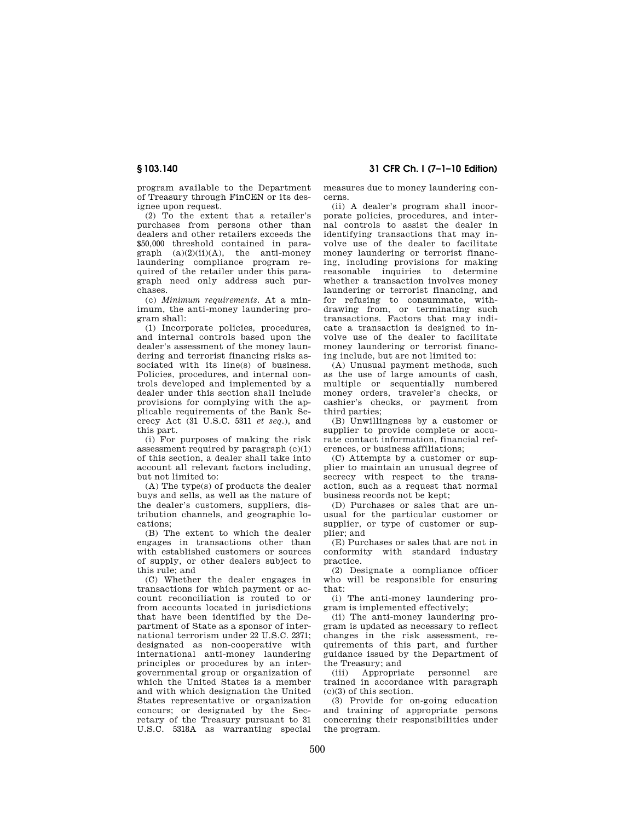program available to the Department of Treasury through FinCEN or its designee upon request.

(2) To the extent that a retailer's purchases from persons other than dealers and other retailers exceeds the \$50,000 threshold contained in paragraph  $(a)(2)(ii)(A)$ , the anti-money laundering compliance program required of the retailer under this paragraph need only address such purchases.

(c) *Minimum requirements.* At a minimum, the anti-money laundering program shall:

(1) Incorporate policies, procedures, and internal controls based upon the dealer's assessment of the money laundering and terrorist financing risks associated with its line(s) of business. Policies, procedures, and internal controls developed and implemented by a dealer under this section shall include provisions for complying with the applicable requirements of the Bank Secrecy Act (31 U.S.C. 5311 *et seq.*), and this part.

(i) For purposes of making the risk assessment required by paragraph (c)(1) of this section, a dealer shall take into account all relevant factors including, but not limited to:

(A) The type(s) of products the dealer buys and sells, as well as the nature of the dealer's customers, suppliers, distribution channels, and geographic locations;

(B) The extent to which the dealer engages in transactions other than with established customers or sources of supply, or other dealers subject to this rule; and

(C) Whether the dealer engages in transactions for which payment or account reconciliation is routed to or from accounts located in jurisdictions that have been identified by the Department of State as a sponsor of international terrorism under 22 U.S.C. 2371; designated as non-cooperative with international anti-money laundering principles or procedures by an intergovernmental group or organization of which the United States is a member and with which designation the United States representative or organization concurs; or designated by the Secretary of the Treasury pursuant to 31 U.S.C. 5318A as warranting special

**§ 103.140 31 CFR Ch. I (7–1–10 Edition)** 

measures due to money laundering concerns.

(ii) A dealer's program shall incorporate policies, procedures, and internal controls to assist the dealer in identifying transactions that may involve use of the dealer to facilitate money laundering or terrorist financing, including provisions for making reasonable inquiries to determine whether a transaction involves money laundering or terrorist financing, and for refusing to consummate, withdrawing from, or terminating such transactions. Factors that may indicate a transaction is designed to involve use of the dealer to facilitate money laundering or terrorist financing include, but are not limited to:

(A) Unusual payment methods, such as the use of large amounts of cash, multiple or sequentially numbered money orders, traveler's checks, or cashier's checks, or payment from third parties;

(B) Unwillingness by a customer or supplier to provide complete or accurate contact information, financial references, or business affiliations;

(C) Attempts by a customer or supplier to maintain an unusual degree of secrecy with respect to the transaction, such as a request that normal business records not be kept;

(D) Purchases or sales that are unusual for the particular customer or supplier, or type of customer or supplier; and

(E) Purchases or sales that are not in conformity with standard industry practice.

(2) Designate a compliance officer who will be responsible for ensuring that:

(i) The anti-money laundering program is implemented effectively;

(ii) The anti-money laundering program is updated as necessary to reflect changes in the risk assessment, requirements of this part, and further guidance issued by the Department of the Treasury; and<br>(iii) Appropriate

(iii) Appropriate personnel are trained in accordance with paragraph (c)(3) of this section.

(3) Provide for on-going education and training of appropriate persons concerning their responsibilities under the program.